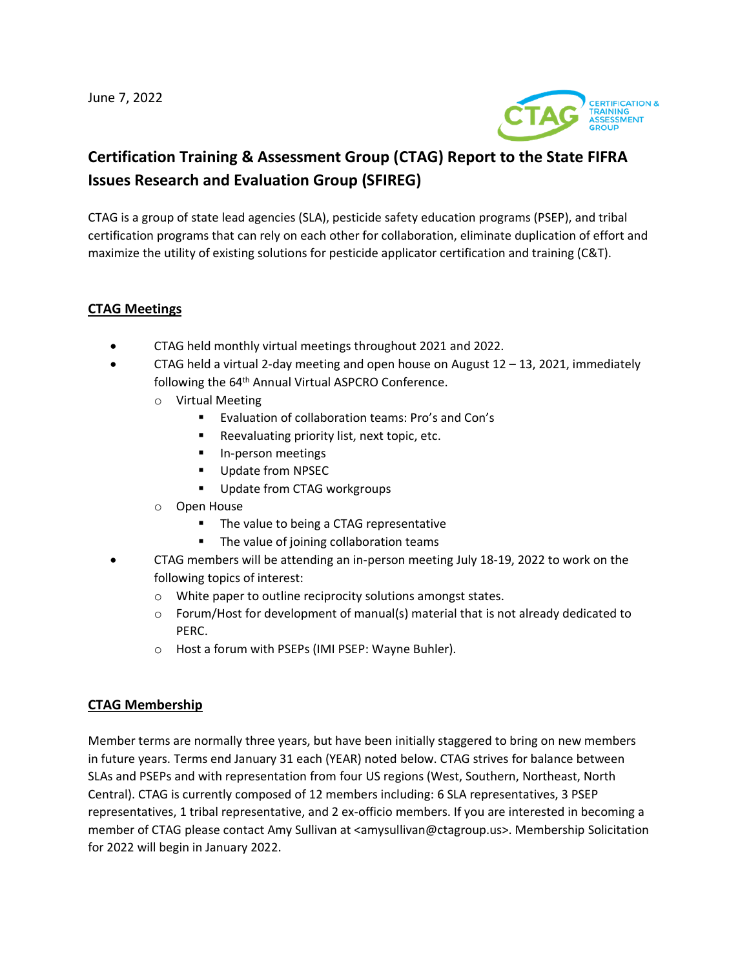June 7, 2022



# **Certification Training & Assessment Group (CTAG) Report to the State FIFRA Issues Research and Evaluation Group (SFIREG)**

CTAG is a group of state lead agencies (SLA), pesticide safety education programs (PSEP), and tribal certification programs that can rely on each other for collaboration, eliminate duplication of effort and maximize the utility of existing solutions for pesticide applicator certification and training (C&T).

#### **CTAG Meetings**

- CTAG held monthly virtual meetings throughout 2021 and 2022.
- CTAG held a virtual 2-day meeting and open house on August  $12 13$ , 2021, immediately following the 64<sup>th</sup> Annual Virtual ASPCRO Conference.
	- o Virtual Meeting
		- Evaluation of collaboration teams: Pro's and Con's
		- Reevaluating priority list, next topic, etc.
		- In-person meetings
		- Update from NPSEC
		- Update from CTAG workgroups
	- o Open House
		- The value to being a CTAG representative
		- The value of joining collaboration teams
- CTAG members will be attending an in-person meeting July 18-19, 2022 to work on the following topics of interest:
	- o White paper to outline reciprocity solutions amongst states.
	- $\circ$  Forum/Host for development of manual(s) material that is not already dedicated to PERC.
	- o Host a forum with PSEPs (IMI PSEP: Wayne Buhler).

#### **CTAG Membership**

Member terms are normally three years, but have been initially staggered to bring on new members in future years. Terms end January 31 each (YEAR) noted below. CTAG strives for balance between SLAs and PSEPs and with representation from four US regions (West, Southern, Northeast, North Central). CTAG is currently composed of 12 members including: 6 SLA representatives, 3 PSEP representatives, 1 tribal representative, and 2 ex-officio members. If you are interested in becoming a member of CTAG please contact Amy Sullivan at <amysullivan@ctagroup.us>. Membership Solicitation for 2022 will begin in January 2022.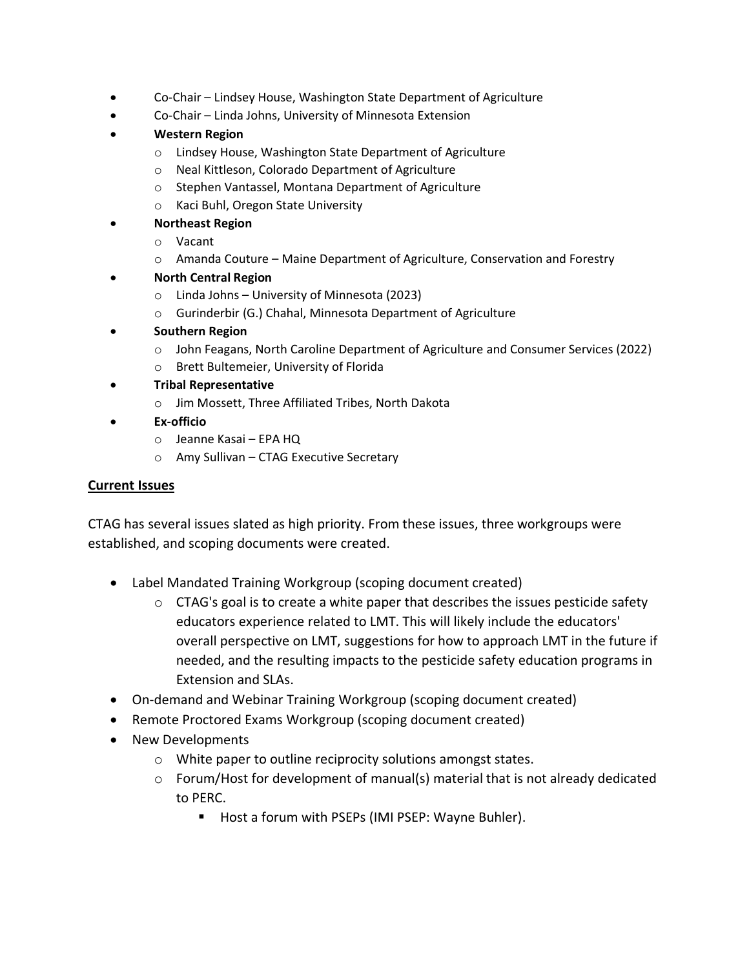- Co-Chair Lindsey House, Washington State Department of Agriculture
- Co-Chair Linda Johns, University of Minnesota Extension
- **Western Region**
	- o Lindsey House, Washington State Department of Agriculture
	- o Neal Kittleson, Colorado Department of Agriculture
	- o Stephen Vantassel, Montana Department of Agriculture
	- o Kaci Buhl, Oregon State University
- **Northeast Region**
	- o Vacant
	- o Amanda Couture Maine Department of Agriculture, Conservation and Forestry
- **North Central Region**
	- o Linda Johns University of Minnesota (2023)
	- o Gurinderbir (G.) Chahal, Minnesota Department of Agriculture
- **Southern Region**
	- o John Feagans, North Caroline Department of Agriculture and Consumer Services (2022)
	- o Brett Bultemeier, University of Florida
- **Tribal Representative**
	- o Jim Mossett, Three Affiliated Tribes, North Dakota
- **Ex-officio**
	- o Jeanne Kasai EPA HQ
	- o Amy Sullivan CTAG Executive Secretary

### **Current Issues**

CTAG has several issues slated as high priority. From these issues, three workgroups were established, and scoping documents were created.

- Label Mandated Training Workgroup (scoping document created)
	- $\circ$  CTAG's goal is to create a white paper that describes the issues pesticide safety educators experience related to LMT. This will likely include the educators' overall perspective on LMT, suggestions for how to approach LMT in the future if needed, and the resulting impacts to the pesticide safety education programs in Extension and SLAs.
- On-demand and Webinar Training Workgroup (scoping document created)
- Remote Proctored Exams Workgroup (scoping document created)
- New Developments
	- o White paper to outline reciprocity solutions amongst states.
	- $\circ$  Forum/Host for development of manual(s) material that is not already dedicated to PERC.
		- Host a forum with PSEPs (IMI PSEP: Wayne Buhler).